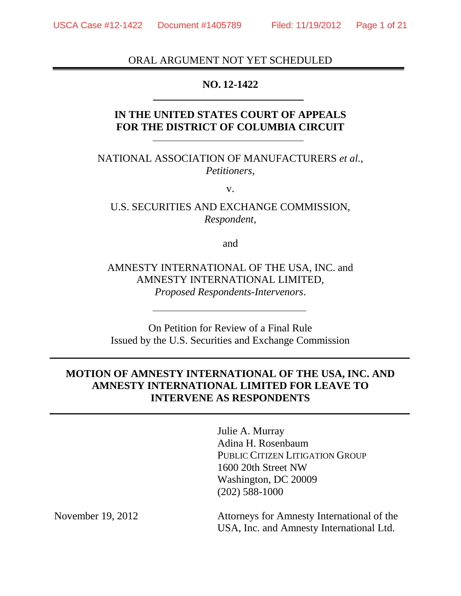### ORAL ARGUMENT NOT YET SCHEDULED

### **NO. 12-1422**

## **IN THE UNITED STATES COURT OF APPEALS FOR THE DISTRICT OF COLUMBIA CIRCUIT**

NATIONAL ASSOCIATION OF MANUFACTURERS *et al.*, *Petitioners*,

v.

U.S. SECURITIES AND EXCHANGE COMMISSION, *Respondent*,

and

AMNESTY INTERNATIONAL OF THE USA, INC. and AMNESTY INTERNATIONAL LIMITED, *Proposed Respondents-Intervenors*.

On Petition for Review of a Final Rule Issued by the U.S. Securities and Exchange Commission

# **MOTION OF AMNESTY INTERNATIONAL OF THE USA, INC. AND AMNESTY INTERNATIONAL LIMITED FOR LEAVE TO INTERVENE AS RESPONDENTS**

Julie A. Murray Adina H. Rosenbaum PUBLIC CITIZEN LITIGATION GROUP 1600 20th Street NW Washington, DC 20009 (202) 588-1000

Attorneys for Amnesty International of the USA, Inc. and Amnesty International Ltd.

November 19, 2012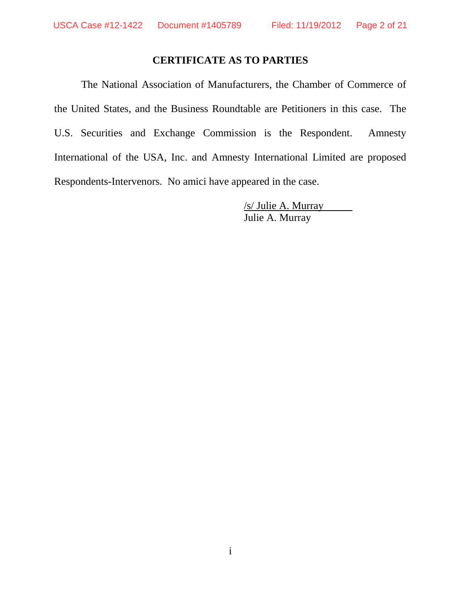## **CERTIFICATE AS TO PARTIES**

The National Association of Manufacturers, the Chamber of Commerce of the United States, and the Business Roundtable are Petitioners in this case. The U.S. Securities and Exchange Commission is the Respondent. Amnesty International of the USA, Inc. and Amnesty International Limited are proposed Respondents-Intervenors. No amici have appeared in the case.

> /s/ Julie A. Murray Julie A. Murray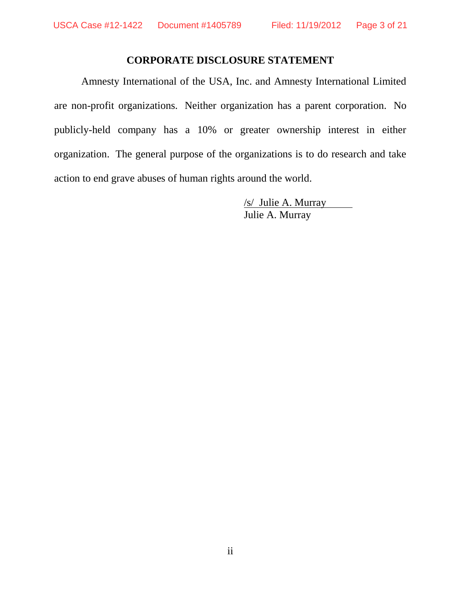## **CORPORATE DISCLOSURE STATEMENT**

Amnesty International of the USA, Inc. and Amnesty International Limited are non-profit organizations. Neither organization has a parent corporation. No publicly-held company has a 10% or greater ownership interest in either organization. The general purpose of the organizations is to do research and take action to end grave abuses of human rights around the world.

> /s/ Julie A. Murray Julie A. Murray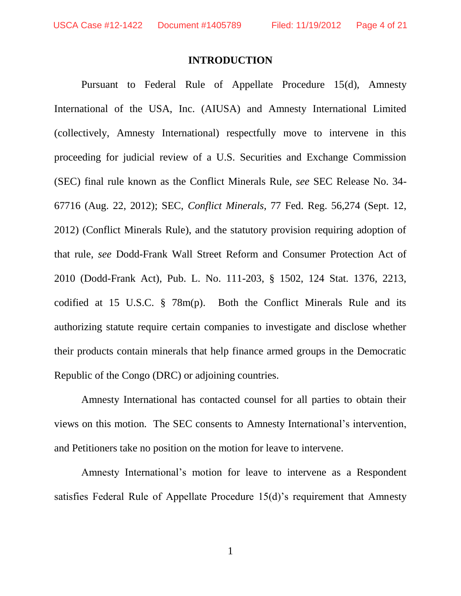### **INTRODUCTION**

Pursuant to Federal Rule of Appellate Procedure 15(d), Amnesty International of the USA, Inc. (AIUSA) and Amnesty International Limited (collectively, Amnesty International) respectfully move to intervene in this proceeding for judicial review of a U.S. Securities and Exchange Commission (SEC) final rule known as the Conflict Minerals Rule, *see* SEC Release No. 34- 67716 (Aug. 22, 2012); SEC, *Conflict Minerals*, 77 Fed. Reg. 56,274 (Sept. 12, 2012) (Conflict Minerals Rule), and the statutory provision requiring adoption of that rule, *see* Dodd-Frank Wall Street Reform and Consumer Protection Act of 2010 (Dodd-Frank Act), Pub. L. No. 111-203, § 1502, 124 Stat. 1376, 2213, codified at 15 U.S.C. § 78m(p). Both the Conflict Minerals Rule and its authorizing statute require certain companies to investigate and disclose whether their products contain minerals that help finance armed groups in the Democratic Republic of the Congo (DRC) or adjoining countries.

Amnesty International has contacted counsel for all parties to obtain their views on this motion. The SEC consents to Amnesty International's intervention, and Petitioners take no position on the motion for leave to intervene.

Amnesty International's motion for leave to intervene as a Respondent satisfies Federal Rule of Appellate Procedure 15(d)'s requirement that Amnesty

1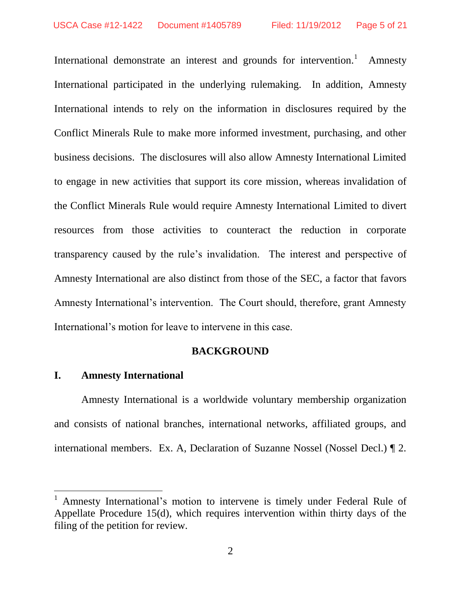International demonstrate an interest and grounds for intervention.<sup>1</sup> Amnesty International participated in the underlying rulemaking. In addition, Amnesty International intends to rely on the information in disclosures required by the Conflict Minerals Rule to make more informed investment, purchasing, and other business decisions. The disclosures will also allow Amnesty International Limited to engage in new activities that support its core mission, whereas invalidation of the Conflict Minerals Rule would require Amnesty International Limited to divert resources from those activities to counteract the reduction in corporate transparency caused by the rule's invalidation. The interest and perspective of Amnesty International are also distinct from those of the SEC, a factor that favors Amnesty International's intervention. The Court should, therefore, grant Amnesty International's motion for leave to intervene in this case.

#### **BACKGROUND**

### **I. Amnesty International**

 $\overline{a}$ 

Amnesty International is a worldwide voluntary membership organization and consists of national branches, international networks, affiliated groups, and international members. Ex. A, Declaration of Suzanne Nossel (Nossel Decl.) ¶ 2.

<sup>1</sup> Amnesty International's motion to intervene is timely under Federal Rule of Appellate Procedure 15(d), which requires intervention within thirty days of the filing of the petition for review.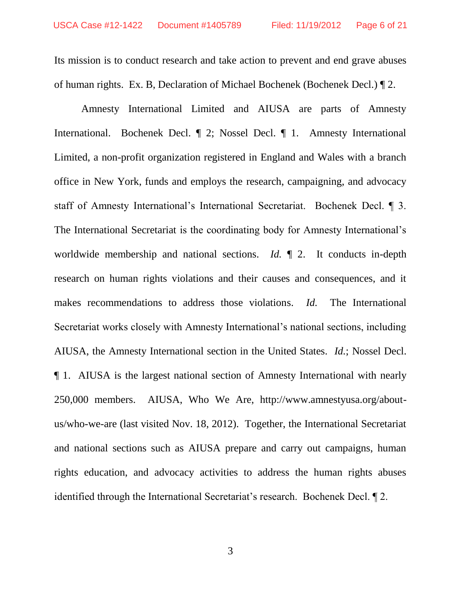Its mission is to conduct research and take action to prevent and end grave abuses of human rights. Ex. B, Declaration of Michael Bochenek (Bochenek Decl.) ¶ 2.

Amnesty International Limited and AIUSA are parts of Amnesty International. Bochenek Decl. ¶ 2; Nossel Decl. ¶ 1. Amnesty International Limited, a non-profit organization registered in England and Wales with a branch office in New York, funds and employs the research, campaigning, and advocacy staff of Amnesty International's International Secretariat. Bochenek Decl. ¶ 3. The International Secretariat is the coordinating body for Amnesty International's worldwide membership and national sections. *Id.*  $\parallel$  2. It conducts in-depth research on human rights violations and their causes and consequences, and it makes recommendations to address those violations. *Id.* The International Secretariat works closely with Amnesty International's national sections, including AIUSA, the Amnesty International section in the United States. *Id.*; Nossel Decl. ¶ 1. AIUSA is the largest national section of Amnesty International with nearly 250,000 members. AIUSA, Who We Are, http://www.amnestyusa.org/aboutus/who-we-are (last visited Nov. 18, 2012). Together, the International Secretariat and national sections such as AIUSA prepare and carry out campaigns, human rights education, and advocacy activities to address the human rights abuses identified through the International Secretariat's research. Bochenek Decl. ¶ 2.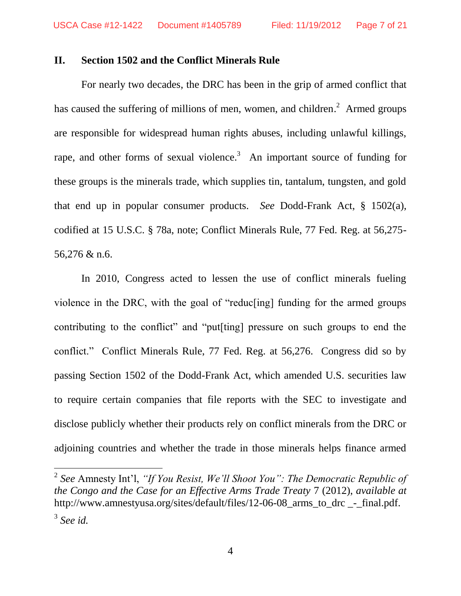#### **II. Section 1502 and the Conflict Minerals Rule**

For nearly two decades, the DRC has been in the grip of armed conflict that has caused the suffering of millions of men, women, and children.<sup>2</sup> Armed groups are responsible for widespread human rights abuses, including unlawful killings, rape, and other forms of sexual violence.<sup>3</sup> An important source of funding for these groups is the minerals trade, which supplies tin, tantalum, tungsten, and gold that end up in popular consumer products. *See* Dodd-Frank Act, § 1502(a), codified at 15 U.S.C. § 78a, note; Conflict Minerals Rule, 77 Fed. Reg. at 56,275- 56,276 & n.6.

In 2010, Congress acted to lessen the use of conflict minerals fueling violence in the DRC, with the goal of "reduc[ing] funding for the armed groups contributing to the conflict" and "put[ting] pressure on such groups to end the conflict." Conflict Minerals Rule, 77 Fed. Reg. at 56,276. Congress did so by passing Section 1502 of the Dodd-Frank Act, which amended U.S. securities law to require certain companies that file reports with the SEC to investigate and disclose publicly whether their products rely on conflict minerals from the DRC or adjoining countries and whether the trade in those minerals helps finance armed

 $\overline{a}$ 

<sup>2</sup> *See* Amnesty Int'l, *"If You Resist, We'll Shoot You": The Democratic Republic of the Congo and the Case for an Effective Arms Trade Treaty* 7 (2012), *available at*  http://www.amnestyusa.org/sites/default/files/12-06-08\_arms\_to\_drc \_-\_final.pdf. 3 *See id.*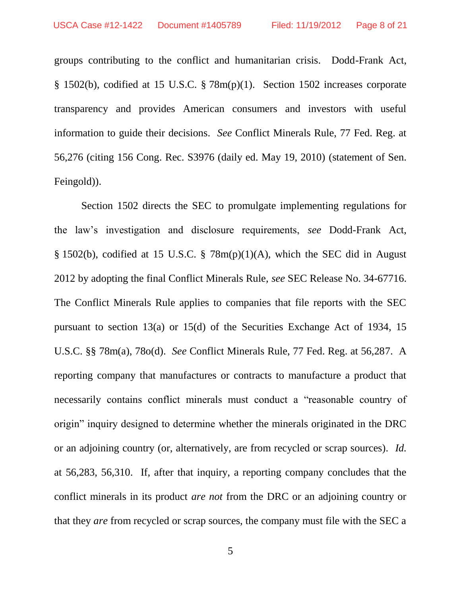groups contributing to the conflict and humanitarian crisis. Dodd-Frank Act, § 1502(b), codified at 15 U.S.C. § 78m(p)(1). Section 1502 increases corporate transparency and provides American consumers and investors with useful information to guide their decisions. *See* Conflict Minerals Rule, 77 Fed. Reg. at 56,276 (citing 156 Cong. Rec. S3976 (daily ed. May 19, 2010) (statement of Sen. Feingold)).

Section 1502 directs the SEC to promulgate implementing regulations for the law's investigation and disclosure requirements, *see* Dodd-Frank Act, § 1502(b), codified at 15 U.S.C. § 78m(p)(1)(A), which the SEC did in August 2012 by adopting the final Conflict Minerals Rule, *see* SEC Release No. 34-67716. The Conflict Minerals Rule applies to companies that file reports with the SEC pursuant to section 13(a) or 15(d) of the Securities Exchange Act of 1934, 15 U.S.C. §§ 78m(a), 78o(d). *See* Conflict Minerals Rule, 77 Fed. Reg. at 56,287. A reporting company that manufactures or contracts to manufacture a product that necessarily contains conflict minerals must conduct a "reasonable country of origin" inquiry designed to determine whether the minerals originated in the DRC or an adjoining country (or, alternatively, are from recycled or scrap sources). *Id.* at 56,283, 56,310. If, after that inquiry, a reporting company concludes that the conflict minerals in its product *are not* from the DRC or an adjoining country or that they *are* from recycled or scrap sources, the company must file with the SEC a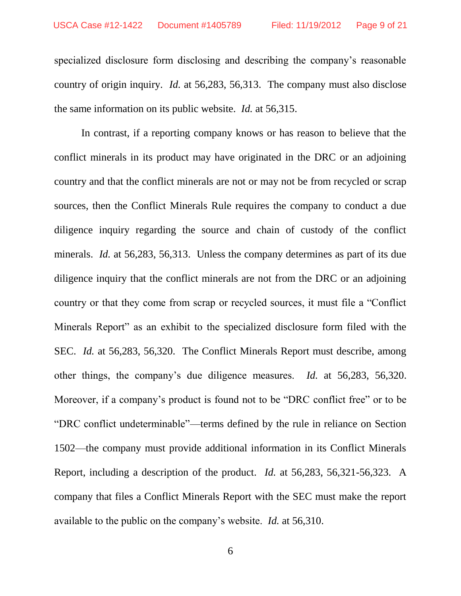specialized disclosure form disclosing and describing the company's reasonable country of origin inquiry. *Id.* at 56,283, 56,313. The company must also disclose the same information on its public website. *Id.* at 56,315.

In contrast, if a reporting company knows or has reason to believe that the conflict minerals in its product may have originated in the DRC or an adjoining country and that the conflict minerals are not or may not be from recycled or scrap sources, then the Conflict Minerals Rule requires the company to conduct a due diligence inquiry regarding the source and chain of custody of the conflict minerals. *Id.* at 56,283, 56,313. Unless the company determines as part of its due diligence inquiry that the conflict minerals are not from the DRC or an adjoining country or that they come from scrap or recycled sources, it must file a "Conflict Minerals Report" as an exhibit to the specialized disclosure form filed with the SEC. *Id.* at 56,283, 56,320. The Conflict Minerals Report must describe, among other things, the company's due diligence measures. *Id.* at 56,283, 56,320. Moreover, if a company's product is found not to be "DRC conflict free" or to be "DRC conflict undeterminable"—terms defined by the rule in reliance on Section 1502—the company must provide additional information in its Conflict Minerals Report, including a description of the product. *Id.* at 56,283, 56,321-56,323. A company that files a Conflict Minerals Report with the SEC must make the report available to the public on the company's website. *Id.* at 56,310.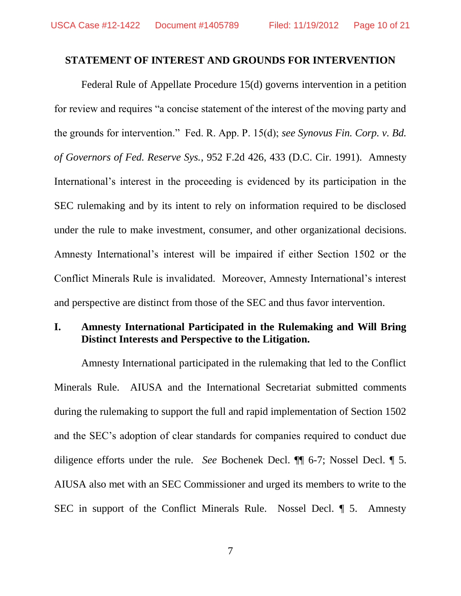#### **STATEMENT OF INTEREST AND GROUNDS FOR INTERVENTION**

Federal Rule of Appellate Procedure 15(d) governs intervention in a petition for review and requires "a concise statement of the interest of the moving party and the grounds for intervention." Fed. R. App. P. 15(d); *see Synovus Fin. Corp. v. Bd. of Governors of Fed. Reserve Sys.*, 952 F.2d 426, 433 (D.C. Cir. 1991).Amnesty International's interest in the proceeding is evidenced by its participation in the SEC rulemaking and by its intent to rely on information required to be disclosed under the rule to make investment, consumer, and other organizational decisions. Amnesty International's interest will be impaired if either Section 1502 or the Conflict Minerals Rule is invalidated. Moreover, Amnesty International's interest and perspective are distinct from those of the SEC and thus favor intervention.

### **I. Amnesty International Participated in the Rulemaking and Will Bring Distinct Interests and Perspective to the Litigation.**

Amnesty International participated in the rulemaking that led to the Conflict Minerals Rule. AIUSA and the International Secretariat submitted comments during the rulemaking to support the full and rapid implementation of Section 1502 and the SEC's adoption of clear standards for companies required to conduct due diligence efforts under the rule. *See* Bochenek Decl. ¶¶ 6-7; Nossel Decl. ¶ 5. AIUSA also met with an SEC Commissioner and urged its members to write to the SEC in support of the Conflict Minerals Rule. Nossel Decl. ¶ 5. Amnesty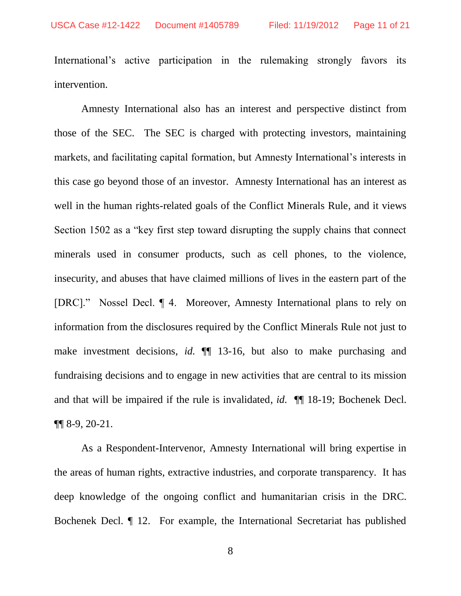International's active participation in the rulemaking strongly favors its intervention.

Amnesty International also has an interest and perspective distinct from those of the SEC. The SEC is charged with protecting investors, maintaining markets, and facilitating capital formation, but Amnesty International's interests in this case go beyond those of an investor. Amnesty International has an interest as well in the human rights-related goals of the Conflict Minerals Rule, and it views Section 1502 as a "key first step toward disrupting the supply chains that connect minerals used in consumer products, such as cell phones, to the violence, insecurity, and abuses that have claimed millions of lives in the eastern part of the [DRC]." Nossel Decl. ¶ 4. Moreover, Amnesty International plans to rely on information from the disclosures required by the Conflict Minerals Rule not just to make investment decisions, *id.* ¶¶ 13-16, but also to make purchasing and fundraising decisions and to engage in new activities that are central to its mission and that will be impaired if the rule is invalidated, *id.* ¶¶ 18-19; Bochenek Decl. ¶¶ 8-9, 20-21.

As a Respondent-Intervenor, Amnesty International will bring expertise in the areas of human rights, extractive industries, and corporate transparency. It has deep knowledge of the ongoing conflict and humanitarian crisis in the DRC. Bochenek Decl. ¶ 12. For example, the International Secretariat has published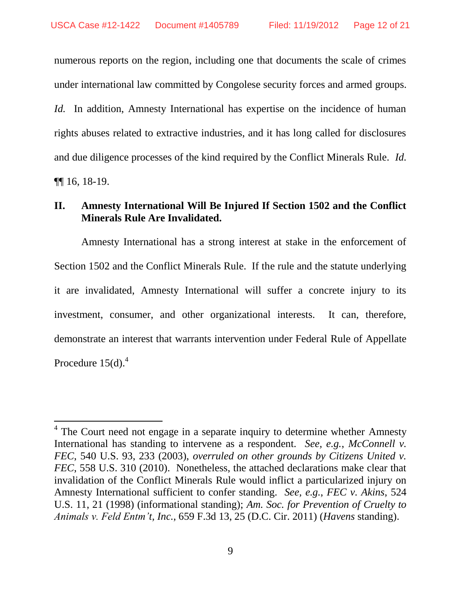numerous reports on the region, including one that documents the scale of crimes under international law committed by Congolese security forces and armed groups. *Id.* In addition, Amnesty International has expertise on the incidence of human rights abuses related to extractive industries, and it has long called for disclosures and due diligence processes of the kind required by the Conflict Minerals Rule. *Id.* ¶¶ 16, 18-19.

### **II. Amnesty International Will Be Injured If Section 1502 and the Conflict Minerals Rule Are Invalidated.**

Amnesty International has a strong interest at stake in the enforcement of Section 1502 and the Conflict Minerals Rule. If the rule and the statute underlying it are invalidated, Amnesty International will suffer a concrete injury to its investment, consumer, and other organizational interests. It can, therefore, demonstrate an interest that warrants intervention under Federal Rule of Appellate Procedure  $15(d)$ .<sup>4</sup>

 $\overline{a}$ 

<sup>&</sup>lt;sup>4</sup> The Court need not engage in a separate inquiry to determine whether Amnesty International has standing to intervene as a respondent. *See, e.g.*, *McConnell v. FEC*, 540 U.S. 93, 233 (2003), *overruled on other grounds by Citizens United v. FEC*, 558 U.S. 310 (2010). Nonetheless, the attached declarations make clear that invalidation of the Conflict Minerals Rule would inflict a particularized injury on Amnesty International sufficient to confer standing. *See, e.g.*, *FEC v. Akins*, 524 U.S. 11, 21 (1998) (informational standing); *Am. Soc. for Prevention of Cruelty to Animals v. Feld Entm't, Inc.*, 659 F.3d 13, 25 (D.C. Cir. 2011) (*Havens* standing).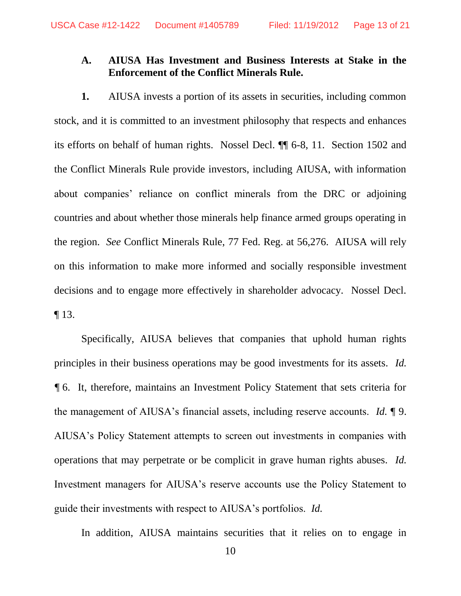## **A. AIUSA Has Investment and Business Interests at Stake in the Enforcement of the Conflict Minerals Rule.**

**1.** AIUSA invests a portion of its assets in securities, including common stock, and it is committed to an investment philosophy that respects and enhances its efforts on behalf of human rights. Nossel Decl. ¶¶ 6-8, 11. Section 1502 and the Conflict Minerals Rule provide investors, including AIUSA, with information about companies' reliance on conflict minerals from the DRC or adjoining countries and about whether those minerals help finance armed groups operating in the region. *See* Conflict Minerals Rule, 77 Fed. Reg. at 56,276. AIUSA will rely on this information to make more informed and socially responsible investment decisions and to engage more effectively in shareholder advocacy. Nossel Decl. ¶ 13.

Specifically, AIUSA believes that companies that uphold human rights principles in their business operations may be good investments for its assets. *Id. ¶* 6. It, therefore, maintains an Investment Policy Statement that sets criteria for the management of AIUSA's financial assets, including reserve accounts. *Id.* ¶ 9. AIUSA's Policy Statement attempts to screen out investments in companies with operations that may perpetrate or be complicit in grave human rights abuses. *Id.* Investment managers for AIUSA's reserve accounts use the Policy Statement to guide their investments with respect to AIUSA's portfolios. *Id.*

In addition, AIUSA maintains securities that it relies on to engage in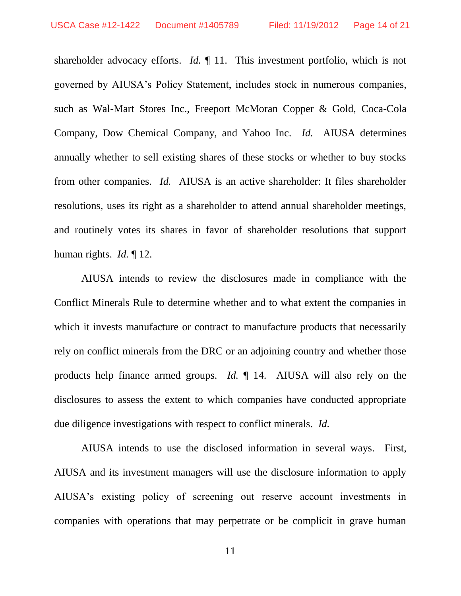shareholder advocacy efforts. *Id.* ¶ 11. This investment portfolio, which is not governed by AIUSA's Policy Statement, includes stock in numerous companies, such as Wal-Mart Stores Inc., Freeport McMoran Copper & Gold, Coca-Cola Company, Dow Chemical Company, and Yahoo Inc. *Id.* AIUSA determines annually whether to sell existing shares of these stocks or whether to buy stocks from other companies. *Id.* AIUSA is an active shareholder: It files shareholder resolutions, uses its right as a shareholder to attend annual shareholder meetings, and routinely votes its shares in favor of shareholder resolutions that support human rights. *Id.* ¶ 12.

AIUSA intends to review the disclosures made in compliance with the Conflict Minerals Rule to determine whether and to what extent the companies in which it invests manufacture or contract to manufacture products that necessarily rely on conflict minerals from the DRC or an adjoining country and whether those products help finance armed groups. *Id.* ¶ 14. AIUSA will also rely on the disclosures to assess the extent to which companies have conducted appropriate due diligence investigations with respect to conflict minerals. *Id.* 

AIUSA intends to use the disclosed information in several ways. First, AIUSA and its investment managers will use the disclosure information to apply AIUSA's existing policy of screening out reserve account investments in companies with operations that may perpetrate or be complicit in grave human

11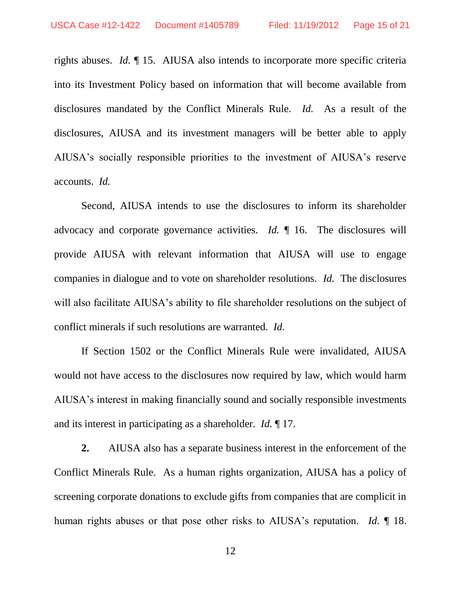rights abuses. *Id.* ¶ 15. AIUSA also intends to incorporate more specific criteria into its Investment Policy based on information that will become available from disclosures mandated by the Conflict Minerals Rule. *Id.* As a result of the disclosures, AIUSA and its investment managers will be better able to apply AIUSA's socially responsible priorities to the investment of AIUSA's reserve accounts. *Id.*

Second, AIUSA intends to use the disclosures to inform its shareholder advocacy and corporate governance activities. *Id.* ¶ 16. The disclosures will provide AIUSA with relevant information that AIUSA will use to engage companies in dialogue and to vote on shareholder resolutions. *Id.* The disclosures will also facilitate AIUSA's ability to file shareholder resolutions on the subject of conflict minerals if such resolutions are warranted. *Id.* 

If Section 1502 or the Conflict Minerals Rule were invalidated, AIUSA would not have access to the disclosures now required by law, which would harm AIUSA's interest in making financially sound and socially responsible investments and its interest in participating as a shareholder. *Id.* ¶ 17.

**2.** AIUSA also has a separate business interest in the enforcement of the Conflict Minerals Rule. As a human rights organization, AIUSA has a policy of screening corporate donations to exclude gifts from companies that are complicit in human rights abuses or that pose other risks to AIUSA's reputation. *Id.* ¶ 18.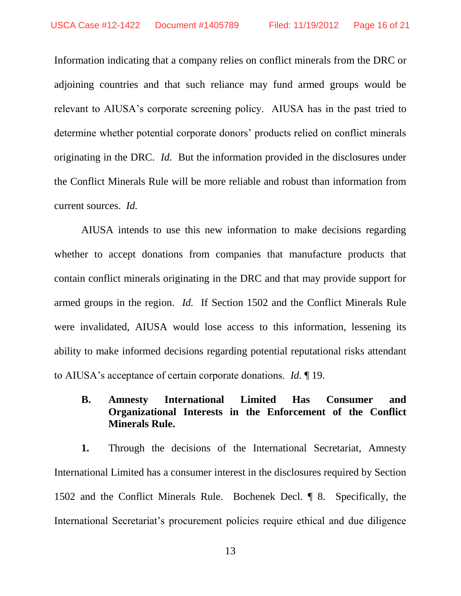Information indicating that a company relies on conflict minerals from the DRC or adjoining countries and that such reliance may fund armed groups would be relevant to AIUSA's corporate screening policy. AIUSA has in the past tried to determine whether potential corporate donors' products relied on conflict minerals originating in the DRC. *Id.* But the information provided in the disclosures under the Conflict Minerals Rule will be more reliable and robust than information from current sources. *Id.* 

AIUSA intends to use this new information to make decisions regarding whether to accept donations from companies that manufacture products that contain conflict minerals originating in the DRC and that may provide support for armed groups in the region. *Id.* If Section 1502 and the Conflict Minerals Rule were invalidated, AIUSA would lose access to this information, lessening its ability to make informed decisions regarding potential reputational risks attendant to AIUSA's acceptance of certain corporate donations. *Id.* ¶ 19.

**B. Amnesty International Limited Has Consumer and Organizational Interests in the Enforcement of the Conflict Minerals Rule.**

**1.** Through the decisions of the International Secretariat, Amnesty International Limited has a consumer interest in the disclosures required by Section 1502 and the Conflict Minerals Rule. Bochenek Decl. ¶ 8. Specifically, the International Secretariat's procurement policies require ethical and due diligence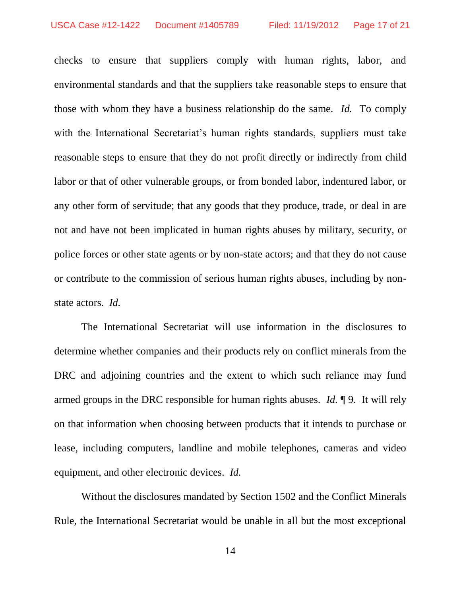checks to ensure that suppliers comply with human rights, labor, and environmental standards and that the suppliers take reasonable steps to ensure that those with whom they have a business relationship do the same. *Id.* To comply with the International Secretariat's human rights standards, suppliers must take reasonable steps to ensure that they do not profit directly or indirectly from child labor or that of other vulnerable groups, or from bonded labor, indentured labor, or any other form of servitude; that any goods that they produce, trade, or deal in are not and have not been implicated in human rights abuses by military, security, or police forces or other state agents or by non-state actors; and that they do not cause or contribute to the commission of serious human rights abuses, including by nonstate actors. *Id.*

The International Secretariat will use information in the disclosures to determine whether companies and their products rely on conflict minerals from the DRC and adjoining countries and the extent to which such reliance may fund armed groups in the DRC responsible for human rights abuses. *Id.* ¶ 9. It will rely on that information when choosing between products that it intends to purchase or lease, including computers, landline and mobile telephones, cameras and video equipment, and other electronic devices. *Id.*

Without the disclosures mandated by Section 1502 and the Conflict Minerals Rule, the International Secretariat would be unable in all but the most exceptional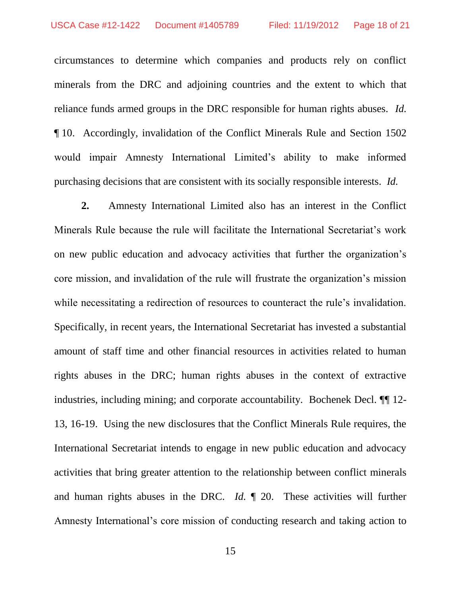circumstances to determine which companies and products rely on conflict minerals from the DRC and adjoining countries and the extent to which that reliance funds armed groups in the DRC responsible for human rights abuses. *Id.* ¶ 10. Accordingly, invalidation of the Conflict Minerals Rule and Section 1502 would impair Amnesty International Limited's ability to make informed purchasing decisions that are consistent with its socially responsible interests. *Id.*

**2.** Amnesty International Limited also has an interest in the Conflict Minerals Rule because the rule will facilitate the International Secretariat's work on new public education and advocacy activities that further the organization's core mission, and invalidation of the rule will frustrate the organization's mission while necessitating a redirection of resources to counteract the rule's invalidation. Specifically, in recent years, the International Secretariat has invested a substantial amount of staff time and other financial resources in activities related to human rights abuses in the DRC; human rights abuses in the context of extractive industries, including mining; and corporate accountability. Bochenek Decl. ¶¶ 12- 13, 16-19. Using the new disclosures that the Conflict Minerals Rule requires, the International Secretariat intends to engage in new public education and advocacy activities that bring greater attention to the relationship between conflict minerals and human rights abuses in the DRC. *Id.* ¶ 20. These activities will further Amnesty International's core mission of conducting research and taking action to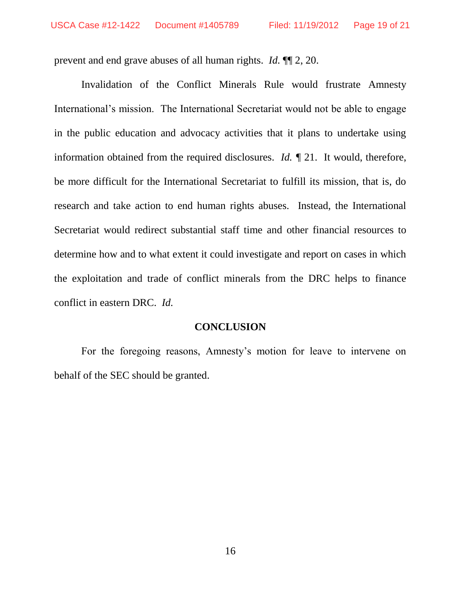prevent and end grave abuses of all human rights. *Id.* ¶¶ 2, 20.

Invalidation of the Conflict Minerals Rule would frustrate Amnesty International's mission. The International Secretariat would not be able to engage in the public education and advocacy activities that it plans to undertake using information obtained from the required disclosures. *Id. ¶* 21. It would, therefore, be more difficult for the International Secretariat to fulfill its mission, that is, do research and take action to end human rights abuses. Instead, the International Secretariat would redirect substantial staff time and other financial resources to determine how and to what extent it could investigate and report on cases in which the exploitation and trade of conflict minerals from the DRC helps to finance conflict in eastern DRC. *Id.* 

#### **CONCLUSION**

For the foregoing reasons, Amnesty's motion for leave to intervene on behalf of the SEC should be granted.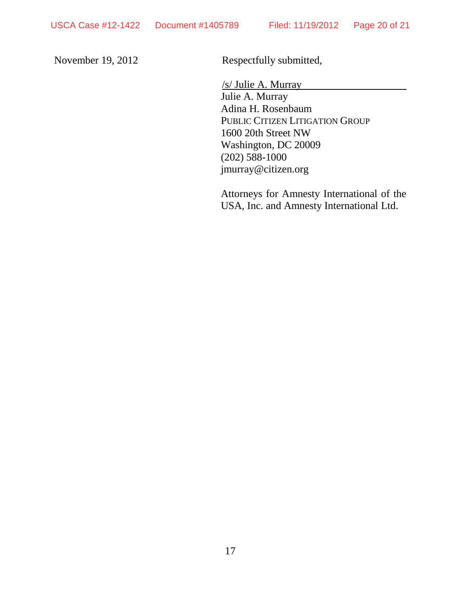November 19, 2012 Respectfully submitted,

 /s/ Julie A. Murray Julie A. Murray Adina H. Rosenbaum PUBLIC CITIZEN LITIGATION GROUP 1600 20th Street NW Washington, DC 20009 (202) 588-1000 jmurray@citizen.org

Attorneys for Amnesty International of the USA, Inc. and Amnesty International Ltd.